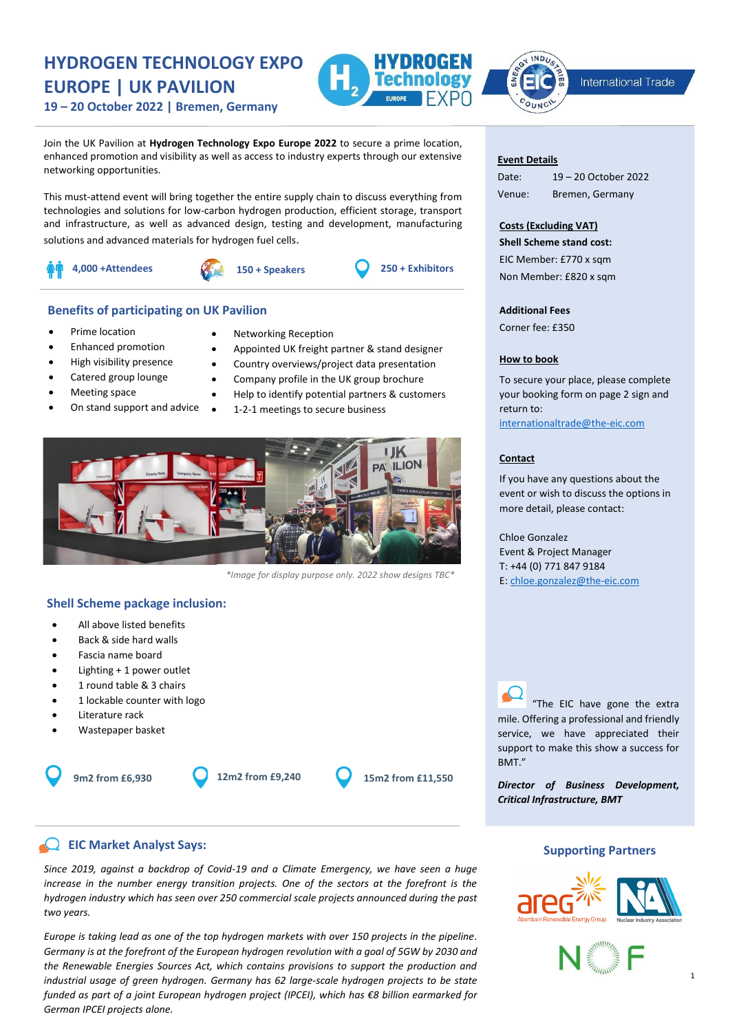# **HYDROGEN TECHNOLOGY EXPO EUROPE | UK PAVILION**





International Trade

**19 – 20 October 2022 | Bremen, Germany**

Join the UK Pavilion at **Hydrogen Technology Expo Europe 2022** to secure a prime location, enhanced promotion and visibility as well as access to industry experts through our extensive networking opportunities.

This must-attend event will bring together the entire supply chain to discuss everything from technologies and solutions for low-carbon hydrogen production, efficient storage, transport and infrastructure, as well as advanced design, testing and development, manufacturing solutions and advanced materials for hydrogen fuel cells.



## **Benefits of participating on UK Pavilion**

- Prime location
- Enhanced promotion
- High visibility presence
- Catered group lounge
- Meeting space
- On stand support and advice
- Networking Reception
- Appointed UK freight partner & stand designer
- Country overviews/project data presentation
- Company profile in the UK group brochure
- Help to identify potential partners & customers
- 1-2-1 meetings to secure business



*\*Image for display purpose only. 2022 show designs TBC\**

## **Shell Scheme package inclusion:**

- All above listed benefits
- Back & side hard walls
- Fascia name board
- Lighting + 1 power outlet
- 1 round table & 3 chairs
- 1 lockable counter with logo
- Literature rack
- Wastepaper basket

**9m2 from £6,930 12m2 from £9,240 15m2 from £11,550**

## **EIC Market Analyst Says:**

*Since 2019, against a backdrop of Covid-19 and a Climate Emergency, we have seen a huge increase in the number energy transition projects. One of the sectors at the forefront is the hydrogen industry which has seen over 250 commercial scale projects announced during the past two years.* 

*Europe is taking lead as one of the top hydrogen markets with over 150 projects in the pipeline. Germany is at the forefront of the European hydrogen revolution with a goal of 5GW by 2030 and the Renewable Energies Sources Act, which contains provisions to support the production and industrial usage of green hydrogen. Germany has 62 large-scale hydrogen projects to be state funded as part of a joint European hydrogen project (IPCEI), which has €8 billion earmarked for German IPCEI projects alone.*

### **Event Details**

Date: 19 – 20 October 2022 Venue: Bremen, Germany

## **Costs (Excluding VAT)**

**Shell Scheme stand cost:** EIC Member: £770 x sqm Non Member: £820 x sqm

## **Additional Fees**

Corner fee: £350

## **How to book**

To secure your place, please complete your booking form on page 2 sign and return to: internationaltrade@the-eic.com

## **Contact**

If you have any questions about the event or wish to discuss the options in more detail, please contact:

Chloe Gonzalez Event & Project Manager T: +44 (0) 771 847 9184 E: chloe.gonzalez@the-eic.com

"The EIC have gone the extra mile. Offering a professional and friendly service, we have appreciated their support to make this show a success for BMT."

*Director of Business Development, Critical Infrastructure, BMT*

## **Supporting Partners**



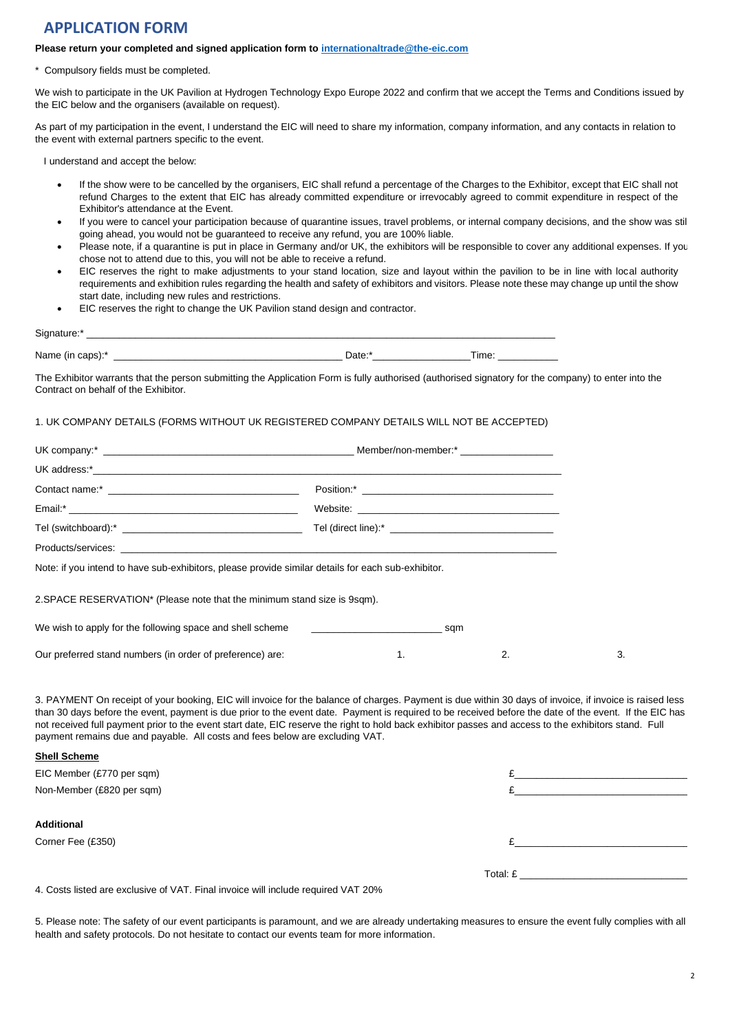## **APPLICATION FORM**

## **Please return your completed and signed application form to internationaltrade@the-eic.com**

Compulsory fields must be completed.

We wish to participate in the UK Pavilion at Hydrogen Technology Expo Europe 2022 and confirm that we accept the Terms and Conditions issued by the EIC below and the organisers (available on request).

As part of my participation in the event, I understand the EIC will need to share my information, company information, and any contacts in relation to the event with external partners specific to the event.

I understand and accept the below:

- If the show were to be cancelled by the organisers, EIC shall refund a percentage of the Charges to the Exhibitor, except that EIC shall not refund Charges to the extent that EIC has already committed expenditure or irrevocably agreed to commit expenditure in respect of the Exhibitor's attendance at the Event.
- If you were to cancel your participation because of quarantine issues, travel problems, or internal company decisions, and the show was still going ahead, you would not be guaranteed to receive any refund, you are 100% liable.
- Please note, if a quarantine is put in place in Germany and/or UK, the exhibitors will be responsible to cover any additional expenses. If you chose not to attend due to this, you will not be able to receive a refund.
- EIC reserves the right to make adjustments to your stand location, size and layout within the pavilion to be in line with local authority requirements and exhibition rules regarding the health and safety of exhibitors and visitors. Please note these may change up until the show start date, including new rules and restrictions.
- EIC reserves the right to change the UK Pavilion stand design and contractor.

| Signature:*      |        |       |
|------------------|--------|-------|
| Name (in caps):* | Date:* | Time. |

The Exhibitor warrants that the person submitting the Application Form is fully authorised (authorised signatory for the company) to enter into the Contract on behalf of the Exhibitor.

## 1. UK COMPANY DETAILS (FORMS WITHOUT UK REGISTERED COMPANY DETAILS WILL NOT BE ACCEPTED)

| Note: if you intend to have sub-exhibitors, please provide similar details for each sub-exhibitor. |    |    |    |  |
|----------------------------------------------------------------------------------------------------|----|----|----|--|
| 2. SPACE RESERVATION* (Please note that the minimum stand size is 9sqm).                           |    |    |    |  |
| We wish to apply for the following space and shell scheme example and state sqm                    |    |    |    |  |
| Our preferred stand numbers (in order of preference) are:                                          | 1. | 2. | 3. |  |

3. PAYMENT On receipt of your booking, EIC will invoice for the balance of charges. Payment is due within 30 days of invoice, if invoice is raised less than 30 days before the event, payment is due prior to the event date. Payment is required to be received before the date of the event. If the EIC has not received full payment prior to the event start date, EIC reserve the right to hold back exhibitor passes and access to the exhibitors stand. Full payment remains due and payable. All costs and fees below are excluding VAT.

## **Shell Scheme**

| EIC Member (£770 per sqm)                                                                                                                                                                                                                                                                                                                                       |          |  |
|-----------------------------------------------------------------------------------------------------------------------------------------------------------------------------------------------------------------------------------------------------------------------------------------------------------------------------------------------------------------|----------|--|
| Non-Member (£820 per sqm)                                                                                                                                                                                                                                                                                                                                       |          |  |
|                                                                                                                                                                                                                                                                                                                                                                 |          |  |
| <b>Additional</b>                                                                                                                                                                                                                                                                                                                                               |          |  |
| Corner Fee (£350)                                                                                                                                                                                                                                                                                                                                               |          |  |
|                                                                                                                                                                                                                                                                                                                                                                 |          |  |
|                                                                                                                                                                                                                                                                                                                                                                 | Total: £ |  |
| $\overline{10}$ $\overline{10}$ $\overline{11}$ $\overline{11}$ $\overline{11}$ $\overline{11}$ $\overline{11}$ $\overline{11}$ $\overline{11}$ $\overline{11}$ $\overline{11}$ $\overline{11}$ $\overline{11}$ $\overline{11}$ $\overline{11}$ $\overline{11}$ $\overline{11}$ $\overline{11}$ $\overline{11}$ $\overline{11}$ $\overline{11}$ $\overline{11}$ |          |  |

4. Costs listed are exclusive of VAT. Final invoice will include required VAT 20%

5. Please note: The safety of our event participants is paramount, and we are already undertaking measures to ensure the event fully complies with all health and safety protocols. Do not hesitate to contact our events team for more information.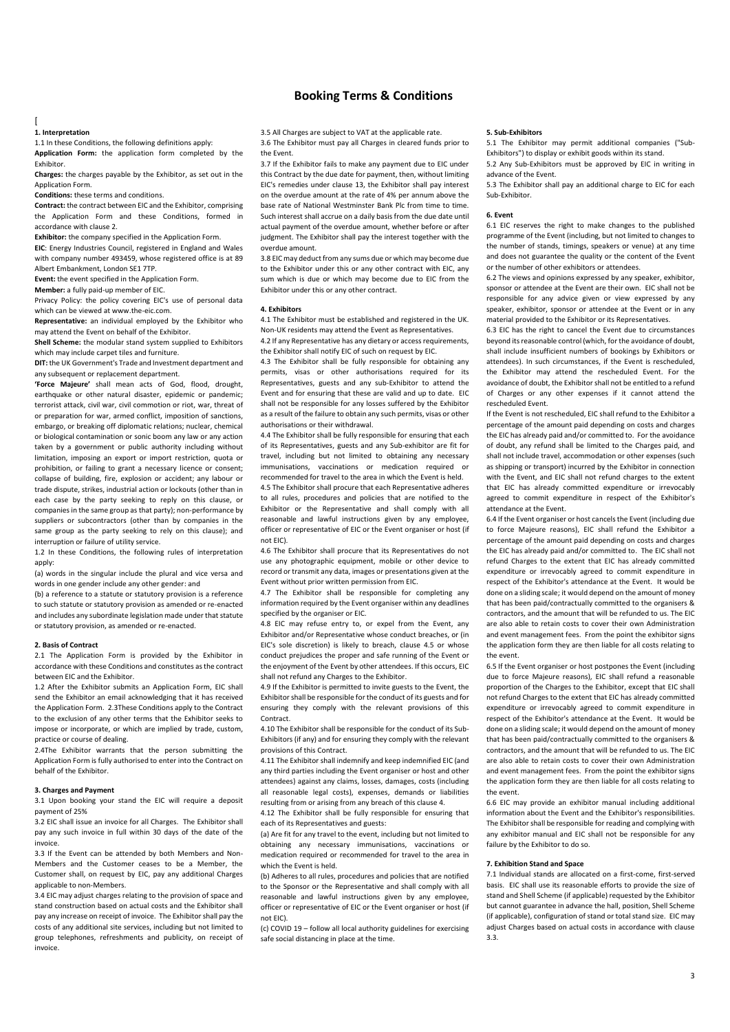## **Booking Terms & Conditions**

#### $\sqrt{2}$

#### **1. Interpretation**

1.1 In these Conditions, the following definitions apply:

**Application Form:** the application form completed by the Exhibitor.

**Charges:** the charges payable by the Exhibitor, as set out in the Application Form.

**Conditions:** these terms and conditions.

**Contract:** the contract between EIC and the Exhibitor, comprising the Application Form and these Conditions, formed in accordance with clause 2.

**Exhibitor:** the company specified in the Application Form.

**EIC**: Energy Industries Council, registered in England and Wales with company number 493459, whose registered office is at 89 Albert Embankment, London SE1 7TP.

**Event:** the event specified in the Application Form.

**Member:** a fully paid-up member of EIC.

Privacy Policy: the policy covering EIC's use of personal data which can be viewed at www.the-eic.com.

**Representative:** an individual employed by the Exhibitor who may attend the Event on behalf of the Exhibitor.

**Shell Scheme:** the modular stand system supplied to Exhibitors which may include carpet tiles and furniture.

**DIT:** the UK Government's Trade and Investment department and any subsequent or replacement department.

**'Force Majeure'** shall mean acts of God, flood, drought, earthquake or other natural disaster, epidemic or pandemic; terrorist attack, civil war, civil commotion or riot, war, threat of or preparation for war, armed conflict, imposition of sanctions, embargo, or breaking off diplomatic relations; nuclear, chemical or biological contamination or sonic boom any law or any action taken by a government or public authority including without limitation, imposing an export or import restriction, quota or prohibition, or failing to grant a necessary licence or consent; collapse of building, fire, explosion or accident; any labour or trade dispute, strikes, industrial action or lockouts (other than in each case by the party seeking to reply on this clause, or companies in the same group as that party); non-performance by suppliers or subcontractors (other than by companies in the same group as the party seeking to rely on this clause); and interruption or failure of utility service.

1.2 In these Conditions, the following rules of interpretation apply:

(a) words in the singular include the plural and vice versa and words in one gender include any other gender: and

(b) a reference to a statute or statutory provision is a reference to such statute or statutory provision as amended or re-enacted and includes any subordinate legislation made under that statute or statutory provision, as amended or re-enacted.

#### **2. Basis of Contract**

2.1 The Application Form is provided by the Exhibitor in accordance with these Conditions and constitutes as the contract between EIC and the Exhibitor.

1.2 After the Exhibitor submits an Application Form, EIC shall send the Exhibitor an email acknowledging that it has received the Application Form. 2.3These Conditions apply to the Contract to the exclusion of any other terms that the Exhibitor seeks to impose or incorporate, or which are implied by trade, custom, practice or course of dealing.

2.4The Exhibitor warrants that the person submitting the Application Form is fully authorised to enter into the Contract on behalf of the Exhibitor.

#### **3. Charges and Payment**

3.1 Upon booking your stand the EIC will require a deposit payment of 25%

3.2 EIC shall issue an invoice for all Charges. The Exhibitor shall pay any such invoice in full within 30 days of the date of the invoice.

3.3 If the Event can be attended by both Members and Non-Members and the Customer ceases to be a Member, the Customer shall, on request by EIC, pay any additional Charges applicable to non-Members.

3.4 EIC may adjust charges relating to the provision of space and stand construction based on actual costs and the Exhibitor shall pay any increase on receipt of invoice. The Exhibitor shall pay the costs of any additional site services, including but not limited to group telephones, refreshments and publicity, on receipt of invoice.

3.5 All Charges are subject to VAT at the applicable rate. 3.6 The Exhibitor must pay all Charges in cleared funds prior to the Event.

3.7 If the Exhibitor fails to make any payment due to EIC under this Contract by the due date for payment, then, without limiting EIC's remedies under clause 13, the Exhibitor shall pay interest on the overdue amount at the rate of 4% per annum above the base rate of National Westminster Bank Plc from time to time. Such interest shall accrue on a daily basis from the due date until actual payment of the overdue amount, whether before or after judgment. The Exhibitor shall pay the interest together with the overdue amount.

3.8 EIC may deduct from any sums due or which may become due to the Exhibitor under this or any other contract with EIC, any sum which is due or which may become due to EIC from the Exhibitor under this or any other contract.

#### **4. Exhibitors**

4.1 The Exhibitor must be established and registered in the UK. Non-UK residents may attend the Event as Representatives.

4.2 If any Representative has any dietary or access requirements, the Exhibitor shall notify EIC of such on request by EIC.

4.3 The Exhibitor shall be fully responsible for obtaining any permits, visas or other authorisations required for its Representatives, guests and any sub-Exhibitor to attend the Event and for ensuring that these are valid and up to date. EIC shall not be responsible for any losses suffered by the Exhibitor as a result of the failure to obtain any such permits, visas or other authorisations or their withdrawal.

4.4 The Exhibitor shall be fully responsible for ensuring that each of its Representatives, guests and any Sub-exhibitor are fit for travel, including but not limited to obtaining any necessary immunisations, vaccinations or medication required or recommended for travel to the area in which the Event is held.

4.5 The Exhibitor shall procure that each Representative adheres to all rules, procedures and policies that are notified to the Exhibitor or the Representative and shall comply with all reasonable and lawful instructions given by any employee, officer or representative of EIC or the Event organiser or host (if not EIC).

4.6 The Exhibitor shall procure that its Representatives do not use any photographic equipment, mobile or other device to record or transmit any data, images or presentations given at the Event without prior written permission from EIC.

4.7 The Exhibitor shall be responsible for completing any information required by the Event organiser within any deadlines specified by the organiser or EIC.

4.8 EIC may refuse entry to, or expel from the Event, any Exhibitor and/or Representative whose conduct breaches, or (in EIC's sole discretion) is likely to breach, clause 4.5 or whose conduct prejudices the proper and safe running of the Event or the enjoyment of the Event by other attendees. If this occurs, EIC shall not refund any Charges to the Exhibitor.

4.9 If the Exhibitor is permitted to invite guests to the Event, the Exhibitor shall be responsible for the conduct of its guests and for ensuring they comply with the relevant provisions of this **Contract** 

4.10 The Exhibitor shall be responsible for the conduct of its Sub-Exhibitors (if any) and for ensuring they comply with the relevant provisions of this Contract.

.<br>4.11 The Exhibitor shall indemnify and keep indemnified EIC (and any third parties including the Event organiser or host and other attendees) against any claims, losses, damages, costs (including all reasonable legal costs), expenses, demands or liabilities resulting from or arising from any breach of this clause 4.

4.12 The Exhibitor shall be fully responsible for ensuring that each of its Representatives and guests:

(a) Are fit for any travel to the event, including but not limited to obtaining any necessary immunisations, vaccinations or medication required or recommended for travel to the area in which the Event is held.

(b) Adheres to all rules, procedures and policies that are notified to the Sponsor or the Representative and shall comply with all reasonable and lawful instructions given by any employee, officer or representative of EIC or the Event organiser or host (if not EIC).

(c) COVID 19 – follow all local authority guidelines for exercising safe social distancing in place at the time.

#### **5. Sub-Exhibitors**

5.1 The Exhibitor may permit additional companies ("Sub-Exhibitors") to display or exhibit goods within its stand. 5.2 Any Sub-Exhibitors must be approved by EIC in writing in

advance of the Event.

5.3 The Exhibitor shall pay an additional charge to EIC for each Sub-Exhibitor.

#### **6. Event**

6.1 EIC reserves the right to make changes to the published programme of the Event (including, but not limited to changes to the number of stands, timings, speakers or venue) at any time and does not guarantee the quality or the content of the Event or the number of other exhibitors or attendees.

6.2 The views and opinions expressed by any speaker, exhibitor, sponsor or attendee at the Event are their own. EIC shall not be responsible for any advice given or view expressed by any speaker, exhibitor, sponsor or attendee at the Event or in any material provided to the Exhibitor or its Representatives.

6.3 EIC has the right to cancel the Event due to circumstances beyond its reasonable control (which, for the avoidance of doubt, shall include insufficient numbers of bookings by Exhibitors or attendees). In such circumstances, if the Event is rescheduled, the Exhibitor may attend the rescheduled Event. For the avoidance of doubt, the Exhibitor shall not be entitled to a refund of Charges or any other expenses if it cannot attend the rescheduled Event.

If the Event is not rescheduled, EIC shall refund to the Exhibitor a percentage of the amount paid depending on costs and charges the EIC has already paid and/or committed to. For the avoidance of doubt, any refund shall be limited to the Charges paid, and shall not include travel, accommodation or other expenses (such as shipping or transport) incurred by the Exhibitor in connection with the Event, and EIC shall not refund charges to the extent that EIC has already committed expenditure or irrevocably agreed to commit expenditure in respect of the Exhibitor's attendance at the Event.

6.4 If the Event organiser or host cancels the Event (including due to force Majeure reasons), EIC shall refund the Exhibitor a percentage of the amount paid depending on costs and charges the EIC has already paid and/or committed to. The EIC shall not refund Charges to the extent that EIC has already committed expenditure or irrevocably agreed to commit expenditure in respect of the Exhibitor's attendance at the Event. It would be done on a sliding scale; it would depend on the amount of money that has been paid/contractually committed to the organisers & contractors, and the amount that will be refunded to us. The EIC are also able to retain costs to cover their own Administration and event management fees. From the point the exhibitor signs the application form they are then liable for all costs relating to the event.

6.5 If the Event organiser or host postpones the Event (including due to force Majeure reasons), EIC shall refund a reasonable proportion of the Charges to the Exhibitor, except that EIC shall not refund Charges to the extent that EIC has already committed expenditure or irrevocably agreed to commit expenditure in respect of the Exhibitor's attendance at the Event. It would be done on a sliding scale; it would depend on the amount of money that has been paid/contractually committed to the organisers & contractors, and the amount that will be refunded to us. The EIC are also able to retain costs to cover their own Administration and event management fees. From the point the exhibitor signs the application form they are then liable for all costs relating to the event.

6.6 EIC may provide an exhibitor manual including additional information about the Event and the Exhibitor's responsibilities. The Exhibitor shall be responsible for reading and complying with any exhibitor manual and EIC shall not be responsible for any failure by the Exhibitor to do so.

### **7. Exhibition Stand and Space**

7.1 Individual stands are allocated on a first-come, first-served basis. EIC shall use its reasonable efforts to provide the size of stand and Shell Scheme (if applicable) requested by the Exhibitor but cannot guarantee in advance the hall, position, Shell Scheme (if applicable), configuration of stand or total stand size. EIC may adjust Charges based on actual costs in accordance with clause 3.3.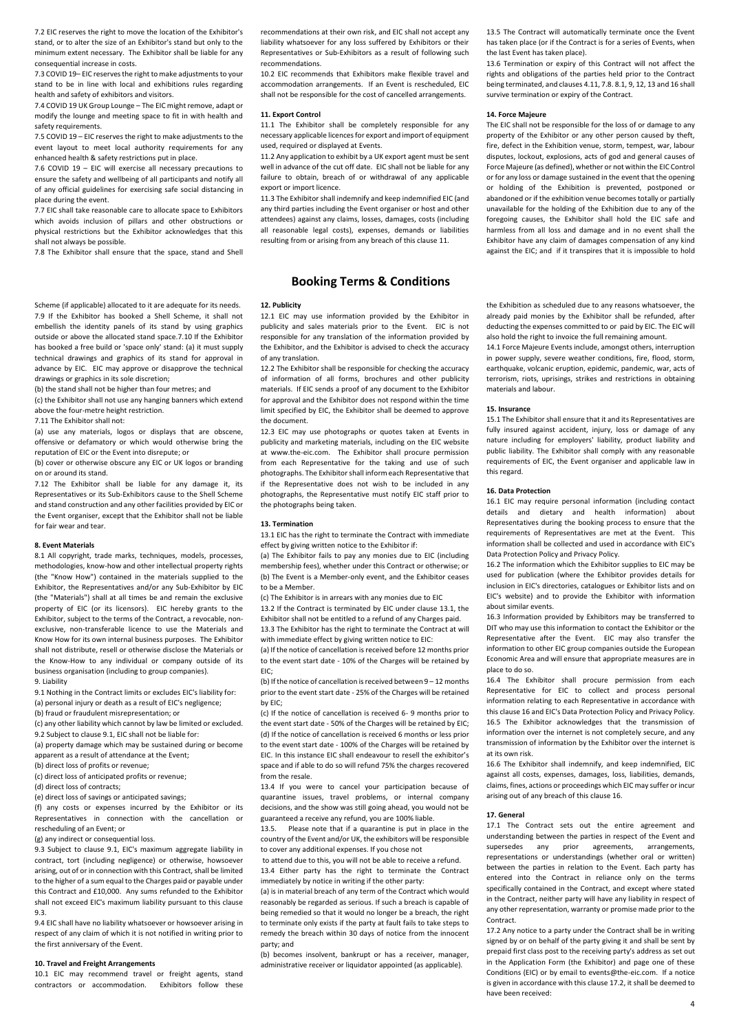7.2 EIC reserves the right to move the location of the Exhibitor's stand, or to alter the size of an Exhibitor's stand but only to the minimum extent necessary. The Exhibitor shall be liable for any consequential increase in costs.

7.3 COVID 19– EIC reserves the right to make adjustments to your stand to be in line with local and exhibitions rules regarding health and safety of exhibitors and visitors.

7.4 COVID 19 UK Group Lounge – The EIC might remove, adapt or modify the lounge and meeting space to fit in with health and safety requirements.

7.5 COVID 19 – EIC reserves the right to make adjustments to the event layout to meet local authority requirements for any enhanced health & safety restrictions put in place.

7.6 COVID 19 – EIC will exercise all necessary precautions to ensure the safety and wellbeing of all participants and notify all of any official guidelines for exercising safe social distancing in place during the event.

7.7 EIC shall take reasonable care to allocate space to Exhibitors which avoids inclusion of pillars and other obstructions or physical restrictions but the Exhibitor acknowledges that this shall not always be possible.

7.8 The Exhibitor shall ensure that the space, stand and Shell

Scheme (if applicable) allocated to it are adequate for its needs. 7.9 If the Exhibitor has booked a Shell Scheme, it shall not embellish the identity panels of its stand by using graphics outside or above the allocated stand space.7.10 If the Exhibitor has booked a free build or 'space only' stand: (a) it must supply technical drawings and graphics of its stand for approval in advance by EIC. EIC may approve or disapprove the technical drawings or graphics in its sole discretion;

(b) the stand shall not be higher than four metres; and

(c) the Exhibitor shall not use any hanging banners which extend above the four-metre height restriction.

7.11 The Exhibitor shall not:

(a) use any materials, logos or displays that are obscene offensive or defamatory or which would otherwise bring the reputation of EIC or the Event into disrepute; or

(b) cover or otherwise obscure any EIC or UK logos or branding on or around its stand.

7.12 The Exhibitor shall be liable for any damage it, its Representatives or its Sub-Exhibitors cause to the Shell Scheme and stand construction and any other facilities provided by EIC or the Event organiser, except that the Exhibitor shall not be liable for fair wear and tear.

#### **8. Event Materials**

8.1 All copyright, trade marks, techniques, models, processes, methodologies, know-how and other intellectual property rights (the "Know How") contained in the materials supplied to the Exhibitor, the Representatives and/or any Sub-Exhibitor by EIC (the "Materials") shall at all times be and remain the exclusive property of EIC (or its licensors). EIC hereby grants to the Exhibitor, subject to the terms of the Contract, a revocable, nonexclusive, non-transferable licence to use the Materials and Know How for its own internal business purposes. The Exhibitor shall not distribute, resell or otherwise disclose the Materials or the Know-How to any individual or company outside of its business organisation (including to group companies).

9. Liability

9.1 Nothing in the Contract limits or excludes EIC's liability for: (a) personal injury or death as a result of EIC's negligence;

(b) fraud or fraudulent misrepresentation; or

(c) any other liability which cannot by law be limited or excluded. 9.2 Subject to clause 9.1, EIC shall not be liable for:

(a) property damage which may be sustained during or become apparent as a result of attendance at the Event;

(b) direct loss of profits or revenue;

(c) direct loss of anticipated profits or revenue;

(d) direct loss of contracts;

(e) direct loss of savings or anticipated savings;

(f) any costs or expenses incurred by the Exhibitor or its Representatives in connection with the cancellation or rescheduling of an Event; or

(g) any indirect or consequential loss.

9.3 Subject to clause 9.1, EIC's maximum aggregate liability in contract, tort (including negligence) or otherwise, howsoever arising, out of or in connection with this Contract, shall be limited to the higher of a sum equal to the Charges paid or payable under this Contract and £10,000. Any sums refunded to the Exhibitor shall not exceed EIC's maximum liability pursuant to this clause  $9.3$ 

9.4 EIC shall have no liability whatsoever or howsoever arising in respect of any claim of which it is not notified in writing prior to the first anniversary of the Event.

#### **10. Travel and Freight Arrangements**

10.1 EIC may recommend travel or freight agents, stand contractors or accommodation. Exhibitors follow these recommendations at their own risk, and EIC shall not accept any liability whatsoever for any loss suffered by Exhibitors or their Representatives or Sub-Exhibitors as a result of following such recommendations.

10.2 EIC recommends that Exhibitors make flexible travel and accommodation arrangements. If an Event is rescheduled, EIC shall not be responsible for the cost of cancelled arrangements.

#### **11. Export Control**

11.1 The Exhibitor shall be completely responsible for any necessary applicable licences for export and import of equipment used, required or displayed at Events.

11.2 Any application to exhibit by a UK export agent must be sent well in advance of the cut off date. EIC shall not be liable for any failure to obtain, breach of or withdrawal of any applicable export or import licence.

11.3 The Exhibitor shall indemnify and keep indemnified EIC (and any third parties including the Event organiser or host and other attendees) against any claims, losses, damages, costs (including all reasonable legal costs), expenses, demands or liabilities resulting from or arising from any breach of this clause 11.

## **Booking Terms & Conditions**

#### **12. Publicity**

12.1 EIC may use information provided by the Exhibitor in publicity and sales materials prior to the Event. EIC is not responsible for any translation of the information provided by the Exhibitor, and the Exhibitor is advised to check the accuracy of any translation.

12.2 The Exhibitor shall be responsible for checking the accuracy of information of all forms, brochures and other publicity materials. If EIC sends a proof of any document to the Exhibitor for approval and the Exhibitor does not respond within the time limit specified by EIC, the Exhibitor shall be deemed to approve the document.

12.3 EIC may use photographs or quotes taken at Events in publicity and marketing materials, including on the EIC website at www.the-eic.com. The Exhibitor shall procure permission from each Representative for the taking and use of such photographs. The Exhibitor shall inform each Representative that if the Representative does not wish to be included in any photographs, the Representative must notify EIC staff prior to the photographs being taken.

#### **13. Termination**

13.1 EIC has the right to terminate the Contract with immediate effect by giving written notice to the Exhibitor if:

(a) The Exhibitor fails to pay any monies due to EIC (including membership fees), whether under this Contract or otherwise; or (b) The Event is a Member-only event, and the Exhibitor ceases to be a Member.

(c) The Exhibitor is in arrears with any monies due to EIC

13.2 If the Contract is terminated by EIC under clause 13.1, the Exhibitor shall not be entitled to a refund of any Charges paid. 13.3 The Exhibitor has the right to terminate the Contract at will with immediate effect by giving written notice to EIC:

(a) If the notice of cancellation is received before 12 months prior to the event start date - 10% of the Charges will be retained by EIC;

(b) If the notice of cancellation is received between 9 – 12 months prior to the event start date - 25% of the Charges will be retained by EIC;

(c) If the notice of cancellation is received 6- 9 months prior to the event start date - 50% of the Charges will be retained by EIC; (d) If the notice of cancellation is received 6 months or less prior to the event start date - 100% of the Charges will be retained by EIC. In this instance EIC shall endeavour to resell the exhibitor's space and if able to do so will refund 75% the charges recovered from the resale.

13.4 If you were to cancel your participation because of quarantine issues, travel problems, or internal company decisions, and the show was still going ahead, you would not be guaranteed a receive any refund, you are 100% liable.

13.5. Please note that if a quarantine is put in place in the country of the Event and/or UK, the exhibitors will be responsible to cover any additional expenses. If you chose not

to attend due to this, you will not be able to receive a refund. 13.4 Either party has the right to terminate the Contract immediately by notice in writing if the other party:

(a) is in material breach of any term of the Contract which would reasonably be regarded as serious. If such a breach is capable of being remedied so that it would no longer be a breach, the right to terminate only exists if the party at fault fails to take steps to remedy the breach within 30 days of notice from the innocent party; and

(b) becomes insolvent, bankrupt or has a receiver, manager, administrative receiver or liquidator appointed (as applicable).

13.5 The Contract will automatically terminate once the Event has taken place (or if the Contract is for a series of Events, when the last Event has taken place).

13.6 Termination or expiry of this Contract will not affect the rights and obligations of the parties held prior to the Contract being terminated, and clauses 4.11, 7.8. 8.1, 9, 12, 13 and 16 shall survive termination or expiry of the Contract.

#### **14. Force Majeure**

The EIC shall not be responsible for the loss of or damage to any property of the Exhibitor or any other person caused by theft, fire, defect in the Exhibition venue, storm, tempest, war, labour disputes, lockout, explosions, acts of god and general causes of Force Majeure (as defined), whether or not within the EIC Control or for any loss or damage sustained in the event that the opening or holding of the Exhibition is prevented, postponed or abandoned or if the exhibition venue becomes totally or partially unavailable for the holding of the Exhibition due to any of the foregoing causes, the Exhibitor shall hold the EIC safe and harmless from all loss and damage and in no event shall the Exhibitor have any claim of damages compensation of any kind against the EIC; and if it transpires that it is impossible to hold

the Exhibition as scheduled due to any reasons whatsoever, the already paid monies by the Exhibitor shall be refunded, after deducting the expenses committed to or paid by EIC. The EIC will also hold the right to invoice the full remaining amount.

14.1 Force Majeure Events include, amongst others, interruption in power supply, severe weather conditions, fire, flood, storm, earthquake, volcanic eruption, epidemic, pandemic, war, acts of terrorism, riots, uprisings, strikes and restrictions in obtaining materials and labour.

#### **15. Insurance**

15.1 The Exhibitor shall ensure that it and its Representatives are fully insured against accident, injury, loss or damage of any nature including for employers' liability, product liability and public liability. The Exhibitor shall comply with any reasonable requirements of EIC, the Event organiser and applicable law in this regard.

#### **16. Data Protection**

16.1 EIC may require personal information (including contact details and dietary and health information) about Representatives during the booking process to ensure that the requirements of Representatives are met at the Event. This information shall be collected and used in accordance with EIC's Data Protection Policy and Privacy Policy.

16.2 The information which the Exhibitor supplies to EIC may be used for publication (where the Exhibitor provides details for inclusion in EIC's directories, catalogues or Exhibitor lists and on EIC's website) and to provide the Exhibitor with information about similar events.

16.3 Information provided by Exhibitors may be transferred to DIT who may use this information to contact the Exhibitor or the Representative after the Event. EIC may also transfer the information to other EIC group companies outside the European Economic Area and will ensure that appropriate measures are in place to do so.

16.4 The Exhibitor shall procure permission from each Representative for EIC to collect and process personal information relating to each Representative in accordance with this clause 16 and EIC's Data Protection Policy and Privacy Policy. 16.5 The Exhibitor acknowledges that the transmission of information over the internet is not completely secure, and any transmission of information by the Exhibitor over the internet is at its own risk.

16.6 The Exhibitor shall indemnify, and keep indemnified, EIC against all costs, expenses, damages, loss, liabilities, demands, claims, fines, actions or proceedings which EIC may suffer or incur arising out of any breach of this clause 16.

#### **17. General**

17.1 The Contract sets out the entire agreement and understanding between the parties in respect of the Event and supersedes any prior agreements, arrangements, representations or understandings (whether oral or written) between the parties in relation to the Event. Each party has entered into the Contract in reliance only on the terms specifically contained in the Contract, and except where stated in the Contract, neither party will have any liability in respect of any other representation, warranty or promise made prior to the Contract.

17.2 Any notice to a party under the Contract shall be in writing signed by or on behalf of the party giving it and shall be sent by prepaid first class post to the receiving party's address as set out in the Application Form (the Exhibitor) and page one of these Conditions (EIC) or by email to events@the-eic.com. If a notice is given in accordance with this clause 17.2, it shall be deemed to have been received: